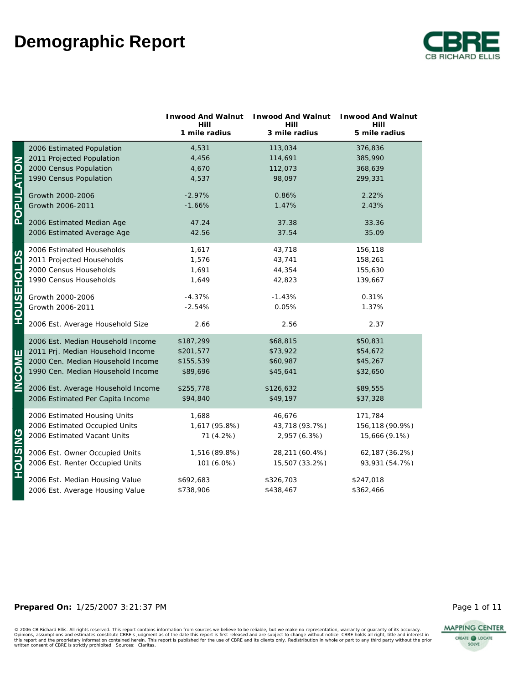

|                   |                                    | <b>Inwood And Walnut</b><br>Hill | <b>Inwood And Walnut</b><br>Hill | <b>Inwood And Walnut</b><br>Hill |
|-------------------|------------------------------------|----------------------------------|----------------------------------|----------------------------------|
|                   |                                    | 1 mile radius                    | 3 mile radius                    | 5 mile radius                    |
|                   | 2006 Estimated Population          | 4,531                            | 113,034                          | 376,836                          |
|                   | 2011 Projected Population          | 4,456                            | 114,691                          | 385,990                          |
|                   | 2000 Census Population             | 4,670                            | 112,073                          | 368,639                          |
|                   | 1990 Census Population             | 4,537                            | 98,097                           | 299,331                          |
|                   | Growth 2000-2006                   | $-2.97%$                         | 0.86%                            | 2.22%                            |
| <b>POPULATION</b> | Growth 2006-2011                   | $-1.66%$                         | 1.47%                            | 2.43%                            |
|                   | 2006 Estimated Median Age          | 47.24                            | 37.38                            | 33.36                            |
|                   | 2006 Estimated Average Age         | 42.56                            | 37.54                            | 35.09                            |
|                   | 2006 Estimated Households          | 1,617                            | 43,718                           | 156,118                          |
|                   | 2011 Projected Households          | 1,576                            | 43,741                           | 158,261                          |
|                   | 2000 Census Households             | 1,691                            | 44,354                           | 155,630                          |
|                   | 1990 Census Households             | 1,649                            | 42,823                           | 139,667                          |
|                   | Growth 2000-2006                   | $-4.37%$                         | $-1.43%$                         | 0.31%                            |
| <b>HOUSEHOLDS</b> | Growth 2006-2011                   | $-2.54%$                         | 0.05%                            | 1.37%                            |
|                   | 2006 Est. Average Household Size   | 2.66                             | 2.56                             | 2.37                             |
|                   | 2006 Est. Median Household Income  | \$187,299                        | \$68,815                         | \$50,831                         |
|                   | 2011 Prj. Median Household Income  | \$201,577                        | \$73,922                         | \$54,672                         |
|                   | 2000 Cen. Median Household Income  | \$155,539                        | \$60,987                         | \$45,267                         |
| <b>INCOME</b>     | 1990 Cen. Median Household Income  | \$89,696                         | \$45,641                         | \$32,650                         |
|                   | 2006 Est. Average Household Income | \$255,778                        | \$126,632                        | \$89,555                         |
|                   | 2006 Estimated Per Capita Income   | \$94,840                         | \$49,197                         | \$37,328                         |
|                   | 2006 Estimated Housing Units       | 1,688                            | 46,676                           | 171,784                          |
|                   | 2006 Estimated Occupied Units      | 1,617 (95.8%)                    | 43,718 (93.7%)                   | 156,118 (90.9%)                  |
|                   | 2006 Estimated Vacant Units        | 71 (4.2%)                        | 2,957 (6.3%)                     | 15,666 (9.1%)                    |
|                   | 2006 Est. Owner Occupied Units     | 1,516 (89.8%)                    | 28,211 (60.4%)                   | 62,187 (36.2%)                   |
| <b>HOUSING</b>    | 2006 Est. Renter Occupied Units    | 101 (6.0%)                       | 15,507 (33.2%)                   | 93,931 (54.7%)                   |
|                   | 2006 Est. Median Housing Value     | \$692,683                        | \$326,703                        | \$247,018                        |
|                   | 2006 Est. Average Housing Value    | \$738,906                        | \$438,467                        | \$362,466                        |

#### **Prepared On:** 1/25/2007 3:21:37 PM **Page 1 of 11** Page 1 of 11

**MAPPING CENTER** CREATE @ LOCATE SOLVE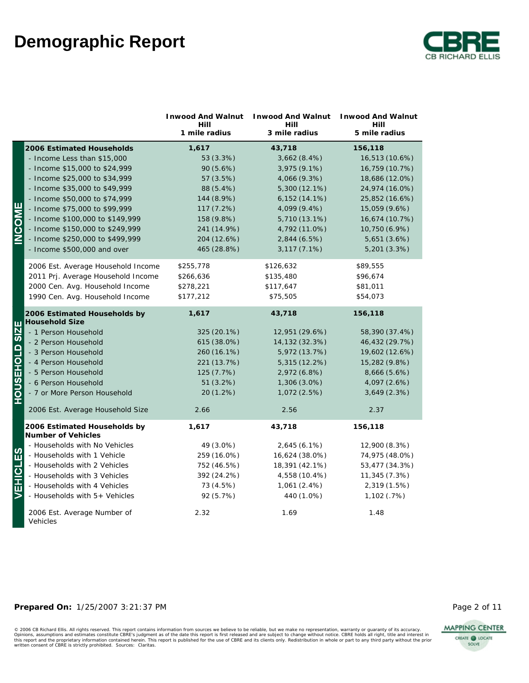

|                       |                                                       | <b>Inwood And Walnut</b><br>Hill<br>1 mile radius | <b>Inwood And Walnut</b><br>Hill<br>3 mile radius | <b>Inwood And Walnut</b><br>Hill<br>5 mile radius |
|-----------------------|-------------------------------------------------------|---------------------------------------------------|---------------------------------------------------|---------------------------------------------------|
|                       | 2006 Estimated Households                             | 1,617                                             | 43,718                                            | 156,118                                           |
|                       | - Income Less than \$15,000                           | 53 (3.3%)                                         | 3,662(8.4%)                                       | 16,513 (10.6%)                                    |
|                       | - Income \$15,000 to \$24,999                         | 90 (5.6%)                                         | 3,975 (9.1%)                                      | 16,759 (10.7%)                                    |
|                       | - Income \$25,000 to \$34,999                         | 57 (3.5%)                                         | 4,066 (9.3%)                                      | 18,686 (12.0%)                                    |
|                       | - Income \$35,000 to \$49,999                         | 88 (5.4%)                                         | 5,300 (12.1%)                                     | 24,974 (16.0%)                                    |
|                       | - Income \$50,000 to \$74,999                         | 144 (8.9%)                                        | $6,152(14.1\%)$                                   | 25,852 (16.6%)                                    |
|                       | - Income \$75,000 to \$99,999                         | 117 (7.2%)                                        | 4,099 (9.4%)                                      | 15,059 (9.6%)                                     |
| <b>INCOME</b>         | - Income \$100,000 to \$149,999                       | 158 (9.8%)                                        | 5,710 (13.1%)                                     | 16,674 (10.7%)                                    |
|                       | - Income \$150,000 to \$249,999                       | 241 (14.9%)                                       | 4,792 (11.0%)                                     | 10,750 (6.9%)                                     |
|                       | - Income \$250,000 to \$499,999                       | 204 (12.6%)                                       | 2,844 (6.5%)                                      | 5,651 (3.6%)                                      |
|                       | - Income \$500,000 and over                           | 465 (28.8%)                                       | 3,117 (7.1%)                                      | 5,201 (3.3%)                                      |
|                       | 2006 Est. Average Household Income                    | \$255,778                                         | \$126,632                                         | \$89,555                                          |
|                       | 2011 Prj. Average Household Income                    | \$266,636                                         | \$135,480                                         | \$96,674                                          |
|                       | 2000 Cen. Avg. Household Income                       | \$278,221                                         | \$117,647                                         | \$81,011                                          |
|                       | 1990 Cen. Avg. Household Income                       | \$177,212                                         | \$75,505                                          | \$54,073                                          |
|                       | 2006 Estimated Households by<br><b>Household Size</b> | 1,617                                             | 43,718                                            | 156,118                                           |
|                       | - 1 Person Household                                  | 325 (20.1%)                                       | 12,951 (29.6%)                                    | 58,390 (37.4%)                                    |
|                       | - 2 Person Household                                  | 615 (38.0%)                                       | 14,132 (32.3%)                                    | 46,432 (29.7%)                                    |
|                       | - 3 Person Household                                  | 260 (16.1%)                                       | 5,972 (13.7%)                                     | 19,602 (12.6%)                                    |
|                       | - 4 Person Household                                  | 221 (13.7%)                                       | 5,315 (12.2%)                                     | 15,282 (9.8%)                                     |
|                       | - 5 Person Household                                  | 125 (7.7%)                                        | 2,972 (6.8%)                                      | 8,666 (5.6%)                                      |
|                       | - 6 Person Household                                  | 51 (3.2%)                                         | 1,306 (3.0%)                                      | 4,097 (2.6%)                                      |
| <b>HOUSEHOLD SIZE</b> | - 7 or More Person Household                          | 20 (1.2%)                                         | 1,072 (2.5%)                                      | 3,649 (2.3%)                                      |
|                       | 2006 Est. Average Household Size                      | 2.66                                              | 2.56                                              | 2.37                                              |
|                       | 2006 Estimated Households by<br>Number of Vehicles    | 1,617                                             | 43,718                                            | 156,118                                           |
|                       | - Households with No Vehicles                         | 49 (3.0%)                                         | 2,645 (6.1%)                                      | 12,900 (8.3%)                                     |
|                       | - Households with 1 Vehicle                           | 259 (16.0%)                                       | 16,624 (38.0%)                                    | 74,975 (48.0%)                                    |
|                       | - Households with 2 Vehicles                          | 752 (46.5%)                                       | 18,391 (42.1%)                                    | 53,477 (34.3%)                                    |
|                       | - Households with 3 Vehicles                          | 392 (24.2%)                                       | 4,558 (10.4%)                                     | 11,345 (7.3%)                                     |
| EHICLES               | - Households with 4 Vehicles                          | 73 (4.5%)                                         | 1,061(2.4%)                                       | 2,319 (1.5%)                                      |
|                       | - Households with 5+ Vehicles                         | 92 (5.7%)                                         | 440 (1.0%)                                        | 1,102(.7%)                                        |
|                       | 2006 Est. Average Number of<br>Vehicles               | 2.32                                              | 1.69                                              | 1.48                                              |

#### **Prepared On:** 1/25/2007 3:21:37 PM **Page 2 of 11** Page 2 of 11

© 2006 CB Richard Ellis. All rights reserved. This report contains information from sources we believe to be reliable, but we make no representation, warranty or guaranty of its accuracy.<br>Opinions, assumptions and estimate



CREATE @ LOCATE SOLVE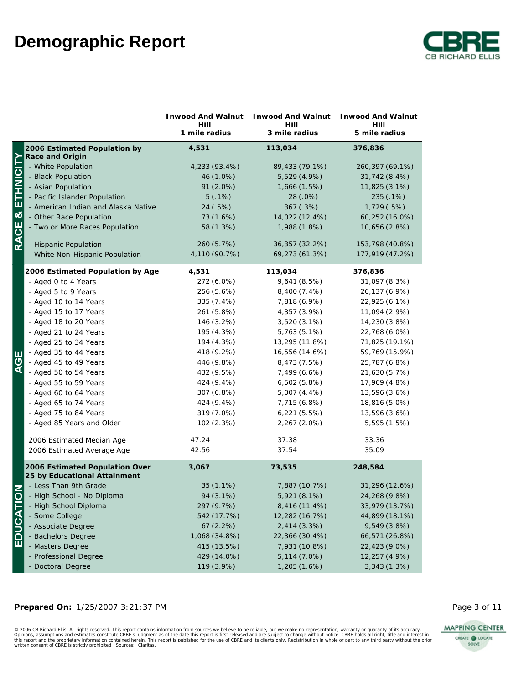

|                  |                                     | Inwood And Walnut     | <b>Inwood And Walnut</b> | <b>Inwood And Walnut</b> |
|------------------|-------------------------------------|-----------------------|--------------------------|--------------------------|
|                  |                                     | Hill<br>1 mile radius | Hill<br>3 mile radius    | Hill<br>5 mile radius    |
|                  | 2006 Estimated Population by        | 4,531                 | 113,034                  | 376,836                  |
|                  | Race and Origin                     |                       |                          |                          |
|                  | - White Population                  | 4,233 (93.4%)         | 89,433 (79.1%)           | 260, 397 (69.1%)         |
|                  | - Black Population                  | 46 (1.0%)             | 5,529 (4.9%)             | 31,742 (8.4%)            |
|                  | - Asian Population                  | 91 (2.0%)             | 1,666(1.5%)              | 11,825 (3.1%)            |
|                  | - Pacific Islander Population       | 5(.1%)                | 28 (.0%)                 | 235 (.1%)                |
|                  | - American Indian and Alaska Native | 24 (.5%)              | 367 (.3%)                | 1,729 (.5%)              |
|                  | - Other Race Population             | 73 (1.6%)             | 14,022 (12.4%)           | 60,252 (16.0%)           |
| RACE & ETHNICITY | - Two or More Races Population      | 58 (1.3%)             | 1,988 (1.8%)             | 10,656 (2.8%)            |
|                  | - Hispanic Population               | 260 (5.7%)            | 36,357 (32.2%)           | 153,798 (40.8%)          |
|                  | - White Non-Hispanic Population     | 4,110 (90.7%)         | 69,273 (61.3%)           | 177,919 (47.2%)          |
|                  | 2006 Estimated Population by Age    | 4,531                 | 113,034                  | 376,836                  |
|                  | - Aged 0 to 4 Years                 | 272 (6.0%)            | 9,641 (8.5%)             | 31,097 (8.3%)            |
|                  | - Aged 5 to 9 Years                 | 256 (5.6%)            | 8,400 (7.4%)             | 26,137 (6.9%)            |
|                  | - Aged 10 to 14 Years               | 335 (7.4%)            | 7,818 (6.9%)             | 22,925 (6.1%)            |
|                  | - Aged 15 to 17 Years               | 261 (5.8%)            | 4,357 (3.9%)             | 11,094 (2.9%)            |
|                  | - Aged 18 to 20 Years               | 146 (3.2%)            | $3,520(3.1\%)$           | 14,230 (3.8%)            |
|                  | - Aged 21 to 24 Years               | 195 (4.3%)            | 5,763 (5.1%)             | 22,768 (6.0%)            |
|                  | - Aged 25 to 34 Years               | 194 (4.3%)            | 13,295 (11.8%)           | 71,825 (19.1%)           |
| ш                | - Aged 35 to 44 Years               | 418 (9.2%)            | 16,556 (14.6%)           | 59,769 (15.9%)           |
| ር<br>ፈ           | - Aged 45 to 49 Years               | 446 (9.8%)            | 8,473 (7.5%)             | 25,787 (6.8%)            |
|                  | - Aged 50 to 54 Years               | 432 (9.5%)            | 7,499 (6.6%)             | 21,630 (5.7%)            |
|                  | - Aged 55 to 59 Years               | 424 (9.4%)            | 6,502(5.8%)              | 17,969 (4.8%)            |
|                  | - Aged 60 to 64 Years               | 307 (6.8%)            | 5,007 (4.4%)             | 13,596 (3.6%)            |
|                  | - Aged 65 to 74 Years               | 424 (9.4%)            | 7,715 (6.8%)             | 18,816 (5.0%)            |
|                  | - Aged 75 to 84 Years               | 319 (7.0%)            | 6,221(5.5%)              | 13,596 (3.6%)            |
|                  | - Aged 85 Years and Older           | 102 (2.3%)            | 2,267 (2.0%)             | 5,595 (1.5%)             |
|                  | 2006 Estimated Median Age           | 47.24                 | 37.38                    | 33.36                    |
|                  | 2006 Estimated Average Age          | 42.56                 | 37.54                    | 35.09                    |
|                  | 2006 Estimated Population Over      | 3,067                 | 73,535                   | 248,584                  |
|                  | 25 by Educational Attainment        |                       |                          |                          |
| $\overline{5}$   | - Less Than 9th Grade               | $35(1.1\%)$           | 7,887 (10.7%)            | 31,296 (12.6%)           |
|                  | - High School - No Diploma          | 94 (3.1%)             | 5,921 (8.1%)             | 24,268 (9.8%)            |
|                  | - High School Diploma               | 297 (9.7%)            | 8,416 (11.4%)            | 33,979 (13.7%)           |
| EDUCATI          | - Some College                      | 542 (17.7%)           | 12,282 (16.7%)           | 44,899 (18.1%)           |
|                  | - Associate Degree                  | 67(2.2%)              | 2,414(3.3%)              | 9,549 (3.8%)             |
|                  | - Bachelors Degree                  | 1,068 (34.8%)         | 22,366 (30.4%)           | 66,571 (26.8%)           |
|                  | - Masters Degree                    | 415 (13.5%)           | 7,931 (10.8%)            | 22,423 (9.0%)            |
|                  | - Professional Degree               | 429 (14.0%)           | 5,114(7.0%)              | 12,257 (4.9%)            |
|                  | - Doctoral Degree                   | 119 (3.9%)            | 1,205 (1.6%)             | 3,343 (1.3%)             |

#### **Prepared On:** 1/25/2007 3:21:37 PM **Page 3 of 11**

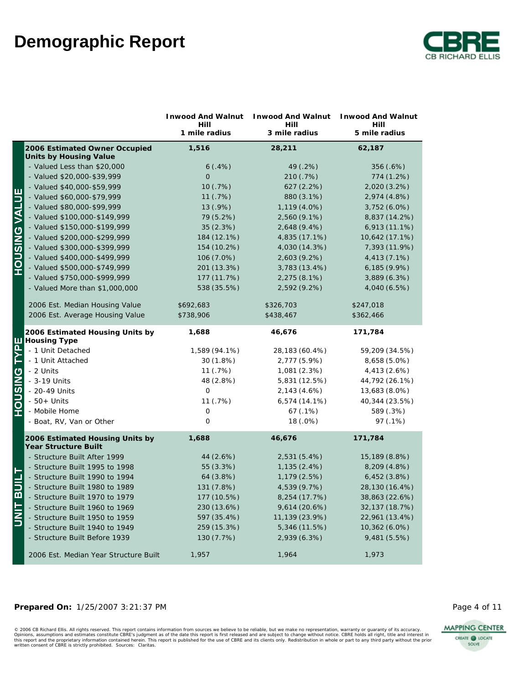

|                      |                                                         | Inwood And Walnut     | <b>Inwood And Walnut</b> | Inwood And Walnut     |
|----------------------|---------------------------------------------------------|-----------------------|--------------------------|-----------------------|
|                      |                                                         | Hill<br>1 mile radius | Hill<br>3 mile radius    | Hill<br>5 mile radius |
|                      | 2006 Estimated Owner Occupied                           | 1,516                 | 28,211                   | 62,187                |
|                      | Units by Housing Value                                  |                       |                          |                       |
|                      | - Valued Less than \$20,000                             | 6(.4%)                | 49 (.2%)                 | 356 (.6%)             |
|                      | - Valued \$20,000-\$39,999                              | $\overline{O}$        | 210 (.7%)                | 774 (1.2%)            |
|                      | - Valued \$40,000-\$59,999                              | 10(.7%)               | 627 (2.2%)               | 2,020 (3.2%)          |
|                      | - Valued \$60,000-\$79,999                              | 11 (.7%)              | 880 (3.1%)               | 2,974 (4.8%)          |
|                      | - Valued \$80,000-\$99,999                              | 13(.9%)               | 1,119 (4.0%)             | $3,752(6.0\%)$        |
| <b>HOUSING VALUE</b> | - Valued \$100,000-\$149,999                            | 79 (5.2%)             | 2,560 (9.1%)             | 8,837 (14.2%)         |
|                      | - Valued \$150,000-\$199,999                            | 35 (2.3%)             | 2,648 (9.4%)             | 6,913 (11.1%)         |
|                      | - Valued \$200,000-\$299,999                            | 184 (12.1%)           | 4,835 (17.1%)            | 10,642 (17.1%)        |
|                      | - Valued \$300,000-\$399,999                            | 154 (10.2%)           | 4,030 (14.3%)            | 7,393 (11.9%)         |
|                      | - Valued \$400,000-\$499,999                            | 106 (7.0%)            | 2,603 (9.2%)             | 4,413 (7.1%)          |
|                      | - Valued \$500,000-\$749,999                            | 201 (13.3%)           | 3,783 (13.4%)            | 6,185 (9.9%)          |
|                      | - Valued \$750,000-\$999,999                            | 177 (11.7%)           | 2,275 (8.1%)             | 3,889 (6.3%)          |
|                      | - Valued More than \$1,000,000                          | 538 (35.5%)           | 2,592 (9.2%)             | 4,040 (6.5%)          |
|                      |                                                         |                       |                          |                       |
|                      | 2006 Est. Median Housing Value                          | \$692,683             | \$326,703                | \$247,018             |
|                      | 2006 Est. Average Housing Value                         | \$738,906             | \$438,467                | \$362,466             |
|                      | 2006 Estimated Housing Units by                         | 1,688                 | 46,676                   | 171,784               |
| TYPE                 | Housing Type<br>- 1 Unit Detached                       | 1,589 (94.1%)         | 28,183 (60.4%)           | 59,209 (34.5%)        |
|                      | - 1 Unit Attached                                       | 30 (1.8%)             | 2,777 (5.9%)             | 8,658 (5.0%)          |
|                      | - 2 Units                                               | 11(.7%)               | 1,081 (2.3%)             | 4,413 (2.6%)          |
|                      | - 3-19 Units                                            | 48 (2.8%)             | 5,831 (12.5%)            | 44,792 (26.1%)        |
| <b>PNISUCH</b>       | - 20-49 Units                                           | $\mathbf 0$           | 2,143 (4.6%)             | 13,683 (8.0%)         |
|                      | $-50+$ Units                                            | 11 (.7%)              | 6,574(14.1%)             | 40,344 (23.5%)        |
|                      | - Mobile Home                                           | $\mathbf 0$           | 67(.1%)                  | 589 (.3%)             |
|                      | - Boat, RV, Van or Other                                | $\circ$               | 18 (.0%)                 | 97 (.1%)              |
|                      |                                                         |                       |                          |                       |
|                      | 2006 Estimated Housing Units by<br>Year Structure Built | 1,688                 | 46,676                   | 171,784               |
|                      | - Structure Built After 1999                            | 44 (2.6%)             | 2,531 (5.4%)             | 15,189 (8.8%)         |
|                      | - Structure Built 1995 to 1998                          | 55 (3.3%)             | 1,135 (2.4%)             | 8,209 (4.8%)          |
|                      | - Structure Built 1990 to 1994                          | 64 (3.8%)             | 1,179 (2.5%)             | 6,452(3.8%)           |
|                      | - Structure Built 1980 to 1989                          | 131 (7.8%)            | 4,539 (9.7%)             | 28,130 (16.4%)        |
|                      | - Structure Built 1970 to 1979                          | 177 (10.5%)           | 8,254 (17.7%)            | 38,863 (22.6%)        |
| <b>UNIT BUILT</b>    | - Structure Built 1960 to 1969                          | 230 (13.6%)           | 9,614 (20.6%)            | 32,137 (18.7%)        |
|                      | - Structure Built 1950 to 1959                          | 597 (35.4%)           | 11,139 (23.9%)           | 22,961 (13.4%)        |
|                      | - Structure Built 1940 to 1949                          | 259 (15.3%)           | 5,346 (11.5%)            | 10,362 (6.0%)         |
|                      | - Structure Built Before 1939                           | 130 (7.7%)            | 2,939 (6.3%)             | 9,481 (5.5%)          |
|                      | 2006 Est. Median Year Structure Built                   | 1,957                 | 1,964                    | 1,973                 |

#### **Prepared On:** 1/25/2007 3:21:37 PM **Page 4 of 11**

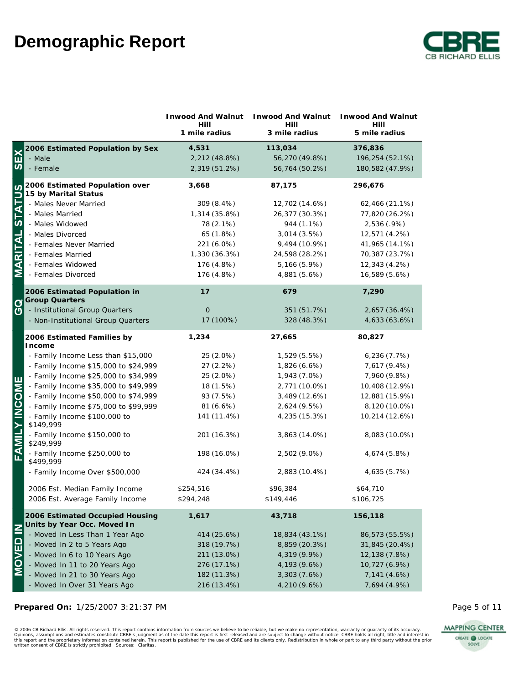

|                 |                                                                | Inwood And Walnut<br>Hill | Inwood And Walnut<br>Hill | <b>Inwood And Walnut</b><br>Hill |
|-----------------|----------------------------------------------------------------|---------------------------|---------------------------|----------------------------------|
|                 |                                                                | 1 mile radius             | 3 mile radius             | 5 mile radius                    |
|                 | 2006 Estimated Population by Sex                               | 4,531                     | 113,034                   | 376,836                          |
| EX              | - Male                                                         | 2,212 (48.8%)             | 56,270 (49.8%)            | 196,254 (52.1%)                  |
| $\overline{v}$  | - Female                                                       | 2,319 (51.2%)             | 56,764 (50.2%)            | 180,582 (47.9%)                  |
| ഗ               | 2006 Estimated Population over<br>15 by Marital Status         | 3,668                     | 87,175                    | 296,676                          |
| <b>STATU</b>    | - Males Never Married                                          | 309 (8.4%)                | 12,702 (14.6%)            | 62,466 (21.1%)                   |
|                 | - Males Married                                                | 1,314 (35.8%)             | 26,377 (30.3%)            | 77,820 (26.2%)                   |
|                 | - Males Widowed                                                | 78 (2.1%)                 | 944 (1.1%)                | 2,536 (.9%)                      |
|                 | - Males Divorced                                               | 65 (1.8%)                 | 3,014 (3.5%)              | 12,571 (4.2%)                    |
| MARITAL         | - Females Never Married                                        | 221 (6.0%)                | 9,494 (10.9%)             | 41,965 (14.1%)                   |
|                 | - Females Married                                              | 1,330 (36.3%)             | 24,598 (28.2%)            | 70,387 (23.7%)                   |
|                 | - Females Widowed                                              | 176 (4.8%)                | 5,166 (5.9%)              | 12,343 (4.2%)                    |
|                 | - Females Divorced                                             | 176 (4.8%)                | 4,881 (5.6%)              | 16,589 (5.6%)                    |
|                 | 2006 Estimated Population in<br><b>Group Quarters</b>          | 17                        | 679                       | 7,290                            |
| $\frac{0}{2}$   | - Institutional Group Quarters                                 | $\Omega$                  | 351 (51.7%)               | 2,657 (36.4%)                    |
|                 | - Non-Institutional Group Quarters                             | 17 (100%)                 | 328 (48.3%)               | 4,633 (63.6%)                    |
|                 | 2006 Estimated Families by<br>Income                           | 1,234                     | 27,665                    | 80,827                           |
|                 | - Family Income Less than \$15,000                             | 25 (2.0%)                 | 1,529 (5.5%)              | 6,236(7.7%)                      |
|                 | - Family Income \$15,000 to \$24,999                           | 27 (2.2%)                 | 1,826 (6.6%)              | 7,617 (9.4%)                     |
| Ш               | - Family Income \$25,000 to \$34,999                           | 25 (2.0%)                 | 1,943 (7.0%)              | 7,960 (9.8%)                     |
|                 | - Family Income \$35,000 to \$49,999                           | 18 (1.5%)                 | 2,771 (10.0%)             | 10,408 (12.9%)                   |
|                 | - Family Income \$50,000 to \$74,999                           | 93 (7.5%)                 | 3,489 (12.6%)             | 12,881 (15.9%)                   |
|                 | - Family Income \$75,000 to \$99,999                           | 81(6.6%)                  | 2,624 (9.5%)              | 8,120 (10.0%)                    |
|                 | - Family Income \$100,000 to<br>\$149,999                      | 141 (11.4%)               | 4,235 (15.3%)             | 10,214 (12.6%)                   |
| FAMILY INCOMI   | - Family Income \$150,000 to<br>\$249,999                      | 201 (16.3%)               | 3,863 (14.0%)             | 8,083 (10.0%)                    |
|                 | - Family Income \$250,000 to<br>\$499,999                      | 198 (16.0%)               | 2,502 (9.0%)              | 4,674 (5.8%)                     |
|                 | - Family Income Over \$500,000                                 | 424 (34.4%)               | 2,883 (10.4%)             | 4,635 (5.7%)                     |
|                 | 2006 Est. Median Family Income                                 | \$254,516                 | \$96,384                  | \$64,710                         |
|                 | 2006 Est. Average Family Income                                | \$294,248                 | \$149,446                 | \$106,725                        |
|                 | 2006 Estimated Occupied Housing<br>Units by Year Occ. Moved In | 1,617                     | 43,718                    | 156,118                          |
|                 | - Moved In Less Than 1 Year Ago                                | 414 (25.6%)               | 18,834 (43.1%)            | 86,573 (55.5%)                   |
| <b>MOVED IN</b> | - Moved In 2 to 5 Years Ago                                    | 318 (19.7%)               | 8,859 (20.3%)             | 31,845 (20.4%)                   |
|                 | - Moved In 6 to 10 Years Ago                                   | 211 (13.0%)               | 4,319 (9.9%)              | 12,138 (7.8%)                    |
|                 | - Moved In 11 to 20 Years Ago                                  | 276 (17.1%)               | 4,193 (9.6%)              | 10,727 (6.9%)                    |
|                 | - Moved In 21 to 30 Years Ago                                  | 182 (11.3%)               | 3,303 (7.6%)              | 7,141 (4.6%)                     |
|                 | - Moved In Over 31 Years Ago                                   | 216 (13.4%)               | 4,210 (9.6%)              | 7,694 (4.9%)                     |

### Prepared On:  $1/25/2007$  3:21:37 PM



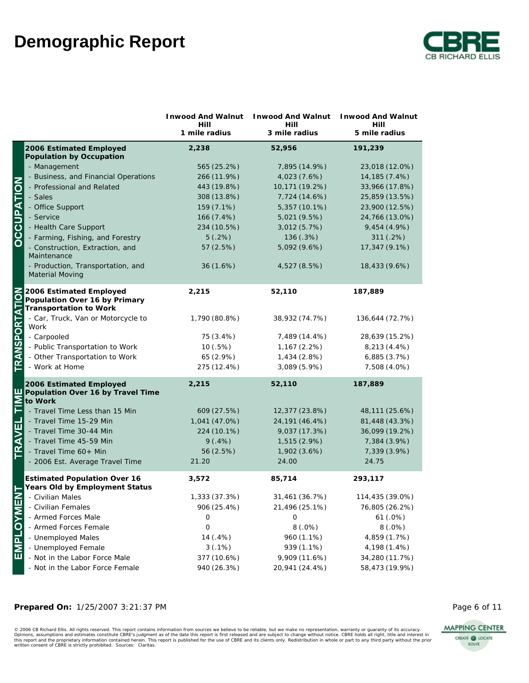

|                       |                                                                                    |                       | Inwood And Walnut Inwood And Walnut | Inwood And Walnut     |
|-----------------------|------------------------------------------------------------------------------------|-----------------------|-------------------------------------|-----------------------|
|                       |                                                                                    | Hill<br>1 mile radius | Hill<br>3 mile radius               | Hill<br>5 mile radius |
|                       | 2006 Estimated Employed<br>Population by Occupation                                | 2,238                 | 52,956                              | 191,239               |
|                       | - Management                                                                       | 565 (25.2%)           | 7,895 (14.9%)                       | 23,018 (12.0%)        |
|                       | - Business, and Financial Operations                                               | 266 (11.9%)           | 4,023 (7.6%)                        | 14, 185 (7.4%)        |
|                       | - Professional and Related                                                         | 443 (19.8%)           | 10,171 (19.2%)                      | 33,966 (17.8%)        |
|                       | - Sales                                                                            | 308 (13.8%)           | 7,724 (14.6%)                       | 25,859 (13.5%)        |
|                       | - Office Support                                                                   | 159 (7.1%)            | 5,357 (10.1%)                       | 23,900 (12.5%)        |
| <b>DCCUPATION</b>     | - Service                                                                          | 166 (7.4%)            | 5,021 (9.5%)                        | 24,766 (13.0%)        |
|                       | - Health Care Support                                                              | 234 (10.5%)           | 3,012 (5.7%)                        | 9,454 (4.9%)          |
|                       | - Farming, Fishing, and Forestry                                                   | 5(.2%)                | 136 (.3%)                           | 311(.2%)              |
|                       | - Construction, Extraction, and<br>Maintenance                                     | 57 (2.5%)             | 5,092 (9.6%)                        | 17,347 (9.1%)         |
|                       | - Production, Transportation, and<br>Material Moving                               | 36 (1.6%)             | 4,527 (8.5%)                        | 18,433 (9.6%)         |
| <b>TRANSPORTATION</b> | 2006 Estimated Employed<br>Population Over 16 by Primary<br>Transportation to Work | 2,215                 | 52,110                              | 187,889               |
|                       | - Car, Truck, Van or Motorcycle to<br>Work                                         | 1,790 (80.8%)         | 38,932 (74.7%)                      | 136,644 (72.7%)       |
|                       | - Carpooled                                                                        | 75 (3.4%)             | 7,489 (14.4%)                       | 28,639 (15.2%)        |
|                       | - Public Transportation to Work                                                    | 10 (.5%)              | 1,167 (2.2%)                        | 8,213 (4.4%)          |
|                       | - Other Transportation to Work                                                     | 65 (2.9%)             | 1,434 (2.8%)                        | 6,885(3.7%)           |
|                       | - Work at Home                                                                     | 275 (12.4%)           | 3,089 (5.9%)                        | 7,508 (4.0%)          |
| ш                     | 2006 Estimated Employed<br>Population Over 16 by Travel Time<br>to Work            | 2,215                 | 52,110                              | 187,889               |
| <b>NIT</b>            | - Travel Time Less than 15 Min                                                     | 609 (27.5%)           | 12,377 (23.8%)                      | 48,111 (25.6%)        |
|                       | - Travel Time 15-29 Min                                                            | 1,041 (47.0%)         | 24, 191 (46.4%)                     | 81,448 (43.3%)        |
|                       | - Travel Time 30-44 Min                                                            | 224 (10.1%)           | 9,037 (17.3%)                       | 36,099 (19.2%)        |
|                       | - Travel Time 45-59 Min                                                            | 9(.4%)                | 1,515 (2.9%)                        | 7,384 (3.9%)          |
| TRAVEL                | - Travel Time 60+ Min                                                              | 56 (2.5%)             | 1,902 (3.6%)                        | 7,339 (3.9%)          |
|                       | - 2006 Est. Average Travel Time                                                    | 21.20                 | 24.00                               | 24.75                 |
|                       | <b>Estimated Population Over 16</b><br>Years Old by Employment Status              | 3,572                 | 85,714                              | 293,117               |
|                       | - Civilian Males                                                                   | 1,333 (37.3%)         | 31,461 (36.7%)                      | 114,435 (39.0%)       |
| <b>EMPLOYME</b>       | - Civilian Females                                                                 | 906 (25.4%)           | 21,496 (25.1%)                      | 76,805 (26.2%)        |
|                       | - Armed Forces Male                                                                | 0                     | 0                                   | 61 (.0%)              |
|                       | - Armed Forces Female                                                              | 0                     | 8(.0%)                              | 8(.0%)                |
|                       | - Unemployed Males                                                                 | 14 (.4%)              | 960 (1.1%)                          | 4,859 (1.7%)          |
|                       | - Unemployed Female                                                                | 3(.1%)                | 939 (1.1%)                          | 4,198 (1.4%)          |
|                       | - Not in the Labor Force Male                                                      | 377 (10.6%)           | 9,909 (11.6%)                       | 34,280 (11.7%)        |
|                       | - Not in the Labor Force Female                                                    | 940 (26.3%)           | 20,941 (24.4%)                      | 58,473 (19.9%)        |

#### **Prepared On:** 1/25/2007 3:21:37 PM **Page 6 of 11**

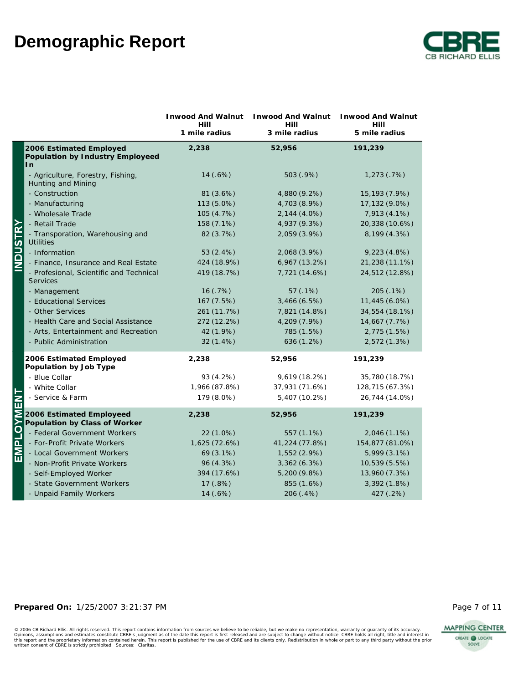

|                      |                                                                   | Inwood And Walnut<br>Hill<br>1 mile radius | <b>Inwood And Walnut</b><br>Hill<br>3 mile radius | <b>Inwood And Walnut</b><br>Hill<br>5 mile radius |
|----------------------|-------------------------------------------------------------------|--------------------------------------------|---------------------------------------------------|---------------------------------------------------|
|                      | 2006 Estimated Employed<br>Population by Industry Employeed<br>In | 2,238                                      | 52,956                                            | 191,239                                           |
|                      | - Agriculture, Forestry, Fishing,<br>Hunting and Mining           | 14(.6%)                                    | 503 (.9%)                                         | 1,273(.7%)                                        |
|                      | - Construction                                                    | 81 (3.6%)                                  | 4,880 (9.2%)                                      | 15,193 (7.9%)                                     |
|                      | - Manufacturing                                                   | 113 (5.0%)                                 | 4,703 (8.9%)                                      | 17,132 (9.0%)                                     |
|                      | - Wholesale Trade                                                 | 105 (4.7%)                                 | 2,144 (4.0%)                                      | 7,913 (4.1%)                                      |
|                      | - Retail Trade                                                    | 158 (7.1%)                                 | 4,937 (9.3%)                                      | 20,338 (10.6%)                                    |
| TRY<br>T<br>່ທ       | - Transporation, Warehousing and<br><b>Utilities</b>              | 82 (3.7%)                                  | 2,059 (3.9%)                                      | 8,199 (4.3%)                                      |
| 2<br>0               | - Information                                                     | 53 (2.4%)                                  | 2,068 (3.9%)                                      | 9,223(4.8%)                                       |
| Ζ                    | - Finance, Insurance and Real Estate                              | 424 (18.9%)                                | 6,967 (13.2%)                                     | 21,238 (11.1%)                                    |
|                      | - Profesional, Scientific and Technical<br><b>Services</b>        | 419 (18.7%)                                | 7,721 (14.6%)                                     | 24,512 (12.8%)                                    |
|                      | - Management                                                      | 16(.7%)                                    | 57(.1%)                                           | 205 (.1%)                                         |
|                      | - Educational Services                                            | 167 (7.5%)                                 | 3,466(6.5%)                                       | 11,445 (6.0%)                                     |
|                      | - Other Services                                                  | 261 (11.7%)                                | 7,821 (14.8%)                                     | 34,554 (18.1%)                                    |
|                      | - Health Care and Social Assistance                               | 272 (12.2%)                                | 4,209 (7.9%)                                      | 14,667 (7.7%)                                     |
|                      | - Arts, Entertainment and Recreation                              | 42 (1.9%)                                  | 785 (1.5%)                                        | 2,775 (1.5%)                                      |
|                      | - Public Administration                                           | $32(1.4\%)$                                | 636 (1.2%)                                        | 2,572 (1.3%)                                      |
|                      | 2006 Estimated Employed<br>Population by Job Type                 | 2,238                                      | 52,956                                            | 191,239                                           |
|                      | - Blue Collar                                                     | 93 (4.2%)                                  | 9,619 (18.2%)                                     | 35,780 (18.7%)                                    |
|                      | - White Collar                                                    | 1,966 (87.8%)                              | 37,931 (71.6%)                                    | 128,715 (67.3%)                                   |
| $\mathbf{z}$         | - Service & Farm                                                  | 179 (8.0%)                                 | 5,407 (10.2%)                                     | 26,744 (14.0%)                                    |
| $\overline{\bullet}$ | 2006 Estimated Employeed<br>Population by Class of Worker         | 2,238                                      | 52,956                                            | 191,239                                           |
|                      | - Federal Government Workers                                      | 22 (1.0%)                                  | 557 (1.1%)                                        | 2,046 (1.1%)                                      |
| <b>Tame</b>          | - For-Profit Private Workers                                      | 1,625 (72.6%)                              | 41,224 (77.8%)                                    | 154,877 (81.0%)                                   |
|                      | - Local Government Workers                                        | 69 (3.1%)                                  | 1,552 (2.9%)                                      | 5,999 (3.1%)                                      |
|                      | - Non-Profit Private Workers                                      | 96 (4.3%)                                  | 3,362 (6.3%)                                      | 10,539 (5.5%)                                     |
|                      | - Self-Employed Worker                                            | 394 (17.6%)                                | 5,200 (9.8%)                                      | 13,960 (7.3%)                                     |
|                      | - State Government Workers                                        | 17(.8%)                                    | 855 (1.6%)                                        | 3,392 (1.8%)                                      |
|                      | - Unpaid Family Workers                                           | 14 (.6%)                                   | 206 (.4%)                                         | 427 (.2%)                                         |

### Prepared On:  $1/25/2007$  3:21:37 PM

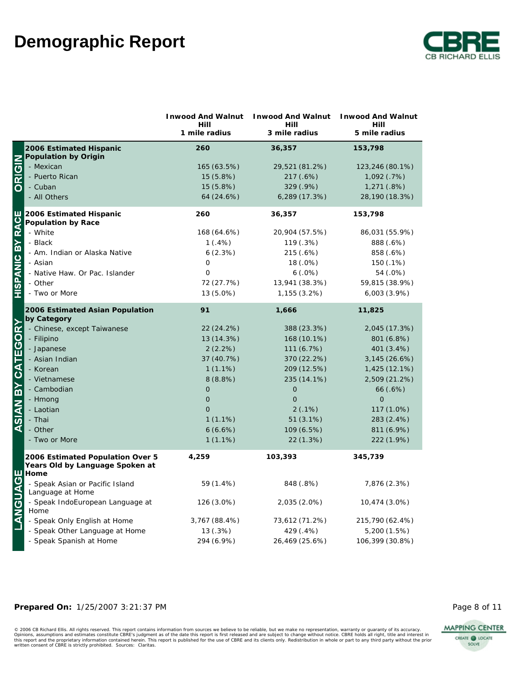

|                          |                                                                                                                                                                                            | Inwood And Walnut<br>Hill | <b>Inwood And Walnut</b><br>Hill | Inwood And Walnut<br>Hill   |
|--------------------------|--------------------------------------------------------------------------------------------------------------------------------------------------------------------------------------------|---------------------------|----------------------------------|-----------------------------|
|                          |                                                                                                                                                                                            | 1 mile radius             | 3 mile radius                    | 5 mile radius               |
|                          | 2006 Estimated Hispanic<br>Population by Origin                                                                                                                                            | 260                       | 36,357                           | 153,798                     |
| ORIGIN                   | - Mexican                                                                                                                                                                                  | 165 (63.5%)               | 29,521 (81.2%)                   | 123,246 (80.1%)             |
|                          | - Puerto Rican                                                                                                                                                                             | 15 (5.8%)                 | 217 (.6%)                        | 1,092 (.7%)                 |
|                          | - Cuban                                                                                                                                                                                    | 15(5.8%)                  | 329 (.9%)                        | 1,271(.8%)                  |
|                          | - All Others                                                                                                                                                                               | 64 (24.6%)                | 6,289 (17.3%)                    | 28,190 (18.3%)              |
| <b>HISPANIC BY RACE</b>  | 2006 Estimated Hispanic                                                                                                                                                                    | 260                       | 36,357                           | 153,798                     |
|                          | Population by Race<br>- White                                                                                                                                                              |                           |                                  |                             |
|                          | - Black                                                                                                                                                                                    | 168 (64.6%)<br>1(.4%)     | 20,904 (57.5%)<br>119 (.3%)      | 86,031 (55.9%)<br>888 (.6%) |
|                          |                                                                                                                                                                                            | 6(2.3%)                   | 215 (.6%)                        | 858 (.6%)                   |
|                          | - Am. Indian or Alaska Native<br>- Asian                                                                                                                                                   | $\circ$                   | 18 (.0%)                         | 150 (.1%)                   |
|                          | - Native Haw. Or Pac. Islander                                                                                                                                                             | $\circ$                   | 6(.0%)                           | 54 (.0%)                    |
|                          | - Other                                                                                                                                                                                    | 72 (27.7%)                | 13,941 (38.3%)                   | 59,815 (38.9%)              |
|                          | - Two or More                                                                                                                                                                              | 13 (5.0%)                 | 1,155 (3.2%)                     | 6,003(3.9%)                 |
|                          |                                                                                                                                                                                            |                           |                                  |                             |
|                          | 2006 Estimated Asian Population<br>by Category                                                                                                                                             | 91                        | 1,666                            | 11,825                      |
| <b>ASIAN BY CATEGORY</b> | - Chinese, except Taiwanese                                                                                                                                                                | 22 (24.2%)                | 388 (23.3%)                      | 2,045 (17.3%)               |
|                          | - Filipino                                                                                                                                                                                 | 13 (14.3%)                | 168 (10.1%)                      | 801 (6.8%)                  |
|                          | - Japanese                                                                                                                                                                                 | 2(2.2%)                   | 111 (6.7%)                       | 401 (3.4%)                  |
|                          | - Asian Indian                                                                                                                                                                             | 37 (40.7%)                | 370 (22.2%)                      | 3,145 (26.6%)               |
|                          | - Korean                                                                                                                                                                                   | 1(1.1%)                   | 209 (12.5%)                      | 1,425 (12.1%)               |
|                          | - Vietnamese                                                                                                                                                                               | 8(8.8%)                   | 235 (14.1%)                      | 2,509 (21.2%)               |
|                          | - Cambodian                                                                                                                                                                                | $\Omega$                  | $\mathbf 0$                      | 66 (.6%)                    |
|                          | - Hmong                                                                                                                                                                                    | $\mathbf 0$               | $\mathbf 0$                      | $\Omega$                    |
|                          | - Laotian                                                                                                                                                                                  | $\overline{O}$            | 2(.1%)                           | 117 (1.0%)                  |
|                          | - Thai                                                                                                                                                                                     | $1(1.1\%)$                | $51(3.1\%)$                      | 283 (2.4%)                  |
|                          | - Other                                                                                                                                                                                    | 6(6.6%)                   | 109 (6.5%)                       | 811 (6.9%)                  |
|                          | - Two or More                                                                                                                                                                              | $1(1.1\%)$                | 22 (1.3%)                        | 222 (1.9%)                  |
|                          | 2006 Estimated Population Over 5<br>Years Old by Language Spoken at                                                                                                                        | 4,259                     | 103,393                          | 345,739                     |
|                          |                                                                                                                                                                                            |                           |                                  |                             |
|                          | - Speak Asian or Pacific Island<br>Language at Home                                                                                                                                        | 59 (1.4%)                 | 848 (.8%)                        | 7,876 (2.3%)                |
|                          | <b>THOMODACE</b><br><b>CONCLUS</b><br><b>CONCLUS</b><br><b>CONCLUS</b><br><b>CONCLUS</b><br><b>CONCLUS</b><br><b>CONCLUS</b><br><b>CONCLUS</b><br>- Speak IndoEuropean Language at<br>Home | 126 (3.0%)                | 2,035 (2.0%)                     | 10,474 (3.0%)               |
|                          | - Speak Only English at Home                                                                                                                                                               | 3,767 (88.4%)             | 73,612 (71.2%)                   | 215,790 (62.4%)             |
|                          | - Speak Other Language at Home                                                                                                                                                             | 13 (.3%)                  | 429 (.4%)                        | 5,200 (1.5%)                |
|                          | - Speak Spanish at Home                                                                                                                                                                    | 294 (6.9%)                | 26,469 (25.6%)                   | 106,399 (30.8%)             |

### Prepared On:  $1/25/2007$  3:21:37 PM

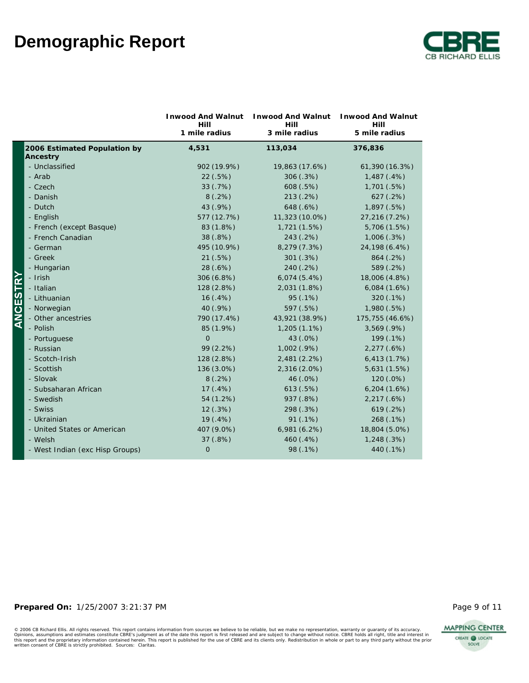

|                                          | <b>Inwood And Walnut</b><br>Hill | <b>Inwood And Walnut</b><br>Hill | <b>Inwood And Walnut</b><br>Hill |
|------------------------------------------|----------------------------------|----------------------------------|----------------------------------|
|                                          | 1 mile radius                    | 3 mile radius                    | 5 mile radius                    |
| 2006 Estimated Population by<br>Ancestry | 4,531                            | 113,034                          | 376,836                          |
| - Unclassified                           | 902 (19.9%)                      | 19,863 (17.6%)                   | 61,390 (16.3%)                   |
| - Arab                                   | 22(.5%)                          | 306 (.3%)                        | 1,487(.4%)                       |
| - Czech                                  | 33(.7%)                          | 608 (.5%)                        | 1,701(.5%)                       |
| - Danish                                 | 8(.2%)                           | 213 (.2%)                        | 627 (.2%)                        |
| - Dutch                                  | 43 (.9%)                         | 648 (.6%)                        | 1,897(.5%)                       |
| - English                                | 577 (12.7%)                      | 11,323 (10.0%)                   | 27,216 (7.2%)                    |
| - French (except Basque)                 | 83 (1.8%)                        | 1,721 (1.5%)                     | 5,706 (1.5%)                     |
| - French Canadian                        | 38 (.8%)                         | 243 (.2%)                        | 1,006(.3%)                       |
| - German                                 | 495 (10.9%)                      | 8,279 (7.3%)                     | 24,198 (6.4%)                    |
| - Greek                                  | 21(.5%)                          | 301(.3%)                         | 864 (.2%)                        |
| - Hungarian                              | 28 (.6%)                         | 240 (.2%)                        | 589 (.2%)                        |
| - Irish                                  | 306 (6.8%)                       | 6,074(5.4%)                      | 18,006 (4.8%)                    |
| - Italian                                | 128 (2.8%)                       | 2,031 (1.8%)                     | 6,084(1.6%)                      |
| - Lithuanian                             | 16(.4%)                          | 95 (.1%)                         | 320(.1%)                         |
| - Norwegian                              | 40 (.9%)                         | 597 (.5%)                        | 1,980(.5%)                       |
| - Other ancestries                       | 790 (17.4%)                      | 43,921 (38.9%)                   | 175,755 (46.6%)                  |
| - Polish                                 | 85 (1.9%)                        | $1,205(1.1\%)$                   | 3,569(.9%)                       |
| - Portuguese                             | $\overline{O}$                   | 43 (.0%)                         | 199 (.1%)                        |
| - Russian                                | 99 (2.2%)                        | 1,002 (.9%)                      | 2,277(.6%)                       |
| - Scotch-Irish                           | 128 (2.8%)                       | 2,481 (2.2%)                     | 6,413(1.7%)                      |
| - Scottish                               | 136 (3.0%)                       | 2,316 (2.0%)                     | 5,631 (1.5%)                     |
| - Slovak                                 | 8(.2%)                           | 46 (.0%)                         | 120 (.0%)                        |
| - Subsaharan African                     | 17(.4%)                          | 613(.5%)                         | 6,204(1.6%)                      |
| - Swedish                                | 54 (1.2%)                        | 937 (.8%)                        | 2,217(.6%)                       |
| - Swiss                                  | 12(.3%)                          | 298 (.3%)                        | 619(.2%)                         |
| - Ukrainian                              | 19(.4%)                          | 91(.1%)                          | 268 (.1%)                        |
| - United States or American              | 407 (9.0%)                       | 6,981(6.2%)                      | 18,804 (5.0%)                    |
| - Welsh                                  | 37(.8%)                          | 460 (.4%)                        | 1,248(.3%)                       |
| - West Indian (exc Hisp Groups)          | $\mathsf{O}$                     | 98 (.1%)                         | 440 (.1%)                        |
|                                          |                                  |                                  |                                  |

### Prepared On:  $1/25/2007$  3:21:37 PM

© 2006 CB Richard Ellis. All rights reserved. This report contains information from sources we believe to be reliable, but we make no representation, warranty or guaranty of its accuracy.<br>Opinions, assumptions and estimate

**MAPPING CENTER** 

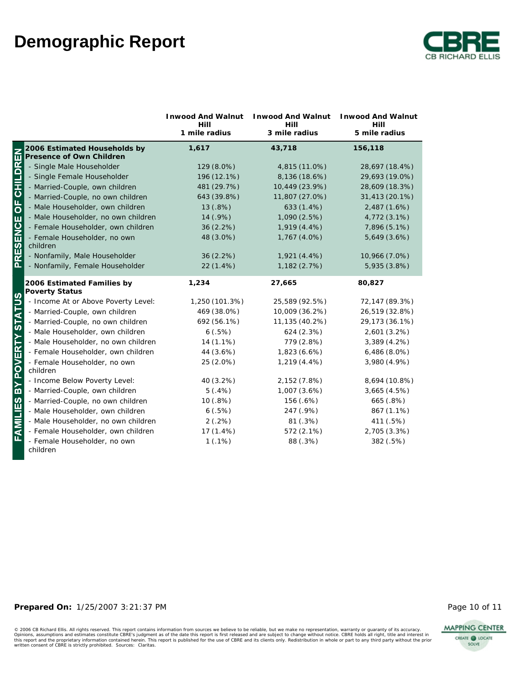

|                            |                                                          | Inwood And Walnut<br>Hill | Inwood And Walnut<br>Hill | <b>Inwood And Walnut</b><br>Hill |
|----------------------------|----------------------------------------------------------|---------------------------|---------------------------|----------------------------------|
|                            |                                                          | 1 mile radius             | 3 mile radius             | 5 mile radius                    |
|                            | 2006 Estimated Households by<br>Presence of Own Children | 1,617                     | 43,718                    | 156,118                          |
|                            | - Single Male Householder                                | 129 (8.0%)                | 4,815 (11.0%)             | 28,697 (18.4%)                   |
|                            | - Single Female Householder                              | 196 (12.1%)               | 8,136 (18.6%)             | 29,693 (19.0%)                   |
|                            | - Married-Couple, own children                           | 481 (29.7%)               | 10,449 (23.9%)            | 28,609 (18.3%)                   |
|                            | - Married-Couple, no own children                        | 643 (39.8%)               | 11,807 (27.0%)            | 31,413 (20.1%)                   |
|                            | - Male Householder, own children                         | 13 (.8%)                  | 633 (1.4%)                | 2,487 (1.6%)                     |
|                            | - Male Householder, no own children                      | 14 (.9%)                  | 1,090 (2.5%)              | 4,772 (3.1%)                     |
|                            | - Female Householder, own children                       | $36(2.2\%)$               | 1,919 (4.4%)              | 7,896 (5.1%)                     |
| RESENCE OF CHILDREN        | - Female Householder, no own<br>children                 | 48 (3.0%)                 | 1,767 (4.0%)              | 5,649 (3.6%)                     |
|                            | - Nonfamily, Male Householder                            | $36(2.2\%)$               | 1,921 (4.4%)              | 10,966 (7.0%)                    |
| $\overline{\mathbf{a}}$    | - Nonfamily, Female Householder                          | 22 (1.4%)                 | 1,182 (2.7%)              | 5,935 (3.8%)                     |
|                            | 2006 Estimated Families by<br>Poverty Status             | 1,234                     | 27,665                    | 80,827                           |
|                            | - Income At or Above Poverty Level:                      | 1,250 (101.3%)            | 25,589 (92.5%)            | 72,147 (89.3%)                   |
|                            | - Married-Couple, own children                           | 469 (38.0%)               | 10,009 (36.2%)            | 26,519 (32.8%)                   |
|                            | - Married-Couple, no own children                        | 692 (56.1%)               | 11,135 (40.2%)            | 29,173 (36.1%)                   |
|                            | - Male Householder, own children                         | 6(.5%)                    | 624 (2.3%)                | 2,601 (3.2%)                     |
|                            | - Male Householder, no own children                      | $14(1.1\%)$               | 779 (2.8%)                | 3,389(4.2%)                      |
|                            | - Female Householder, own children                       | 44 (3.6%)                 | 1,823 (6.6%)              | 6,486(8.0%)                      |
| FAMILIES BY POVERTY STATUS | - Female Householder, no own<br>children                 | 25 (2.0%)                 | 1,219 (4.4%)              | 3,980 (4.9%)                     |
|                            | - Income Below Poverty Level:                            | 40 (3.2%)                 | 2,152 (7.8%)              | 8,694 (10.8%)                    |
|                            | - Married-Couple, own children                           | 5(.4%)                    | 1,007 (3.6%)              | 3,665 (4.5%)                     |
|                            | - Married-Couple, no own children                        | 10(.8%)                   | 156 (.6%)                 | 665 (.8%)                        |
|                            | - Male Householder, own children                         | 6(.5%)                    | 247 (.9%)                 | 867 (1.1%)                       |
|                            | - Male Householder, no own children                      | 2(.2%)                    | 81 (.3%)                  | 411 (.5%)                        |
|                            | - Female Householder, own children                       | $17(1.4\%)$               | 572 (2.1%)                | 2,705 (3.3%)                     |
|                            | - Female Householder, no own<br>children                 | 1(.1%)                    | 88 (.3%)                  | 382 (.5%)                        |

### **Prepared On:** 1/25/2007 3:21:37 PM **Page 10 of 11** Page 10 of 11